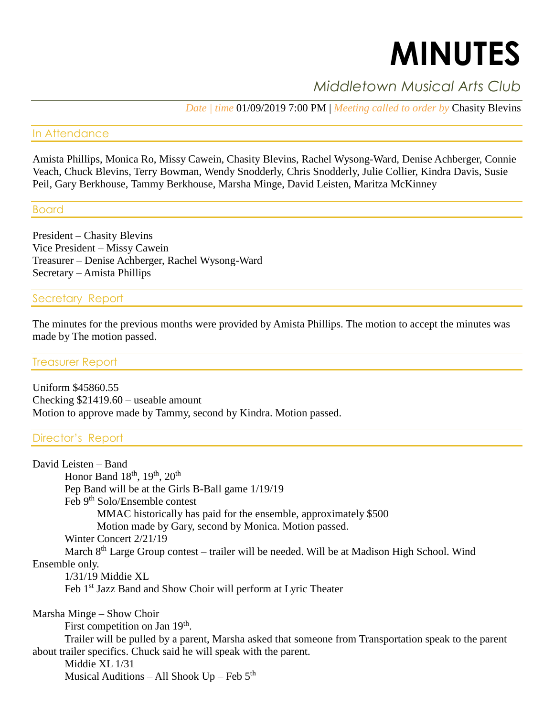# **MINUTES**

## *Middletown Musical Arts Club*

*Date | time* 01/09/2019 7:00 PM | *Meeting called to order by* Chasity Blevins

#### In Attendance

Amista Phillips, Monica Ro, Missy Cawein, Chasity Blevins, Rachel Wysong-Ward, Denise Achberger, Connie Veach, Chuck Blevins, Terry Bowman, Wendy Snodderly, Chris Snodderly, Julie Collier, Kindra Davis, Susie Peil, Gary Berkhouse, Tammy Berkhouse, Marsha Minge, David Leisten, Maritza McKinney

#### Board

President – Chasity Blevins Vice President – Missy Cawein Treasurer – Denise Achberger, Rachel Wysong-Ward Secretary – Amista Phillips

#### Secretary Report

The minutes for the previous months were provided by Amista Phillips. The motion to accept the minutes was made by The motion passed.

#### Treasurer Report

Uniform \$45860.55 Checking \$21419.60 – useable amount Motion to approve made by Tammy, second by Kindra. Motion passed.

#### Director's Report

David Leisten – Band Honor Band  $18<sup>th</sup>$ ,  $19<sup>th</sup>$ ,  $20<sup>th</sup>$ Pep Band will be at the Girls B-Ball game 1/19/19 Feb 9<sup>th</sup> Solo/Ensemble contest MMAC historically has paid for the ensemble, approximately \$500 Motion made by Gary, second by Monica. Motion passed. Winter Concert 2/21/19 March 8th Large Group contest – trailer will be needed. Will be at Madison High School. Wind Ensemble only. 1/31/19 Middie XL Feb 1<sup>st</sup> Jazz Band and Show Choir will perform at Lyric Theater Marsha Minge – Show Choir First competition on Jan 19<sup>th</sup>. Trailer will be pulled by a parent, Marsha asked that someone from Transportation speak to the parent about trailer specifics. Chuck said he will speak with the parent. Middie XL 1/31 Musical Auditions – All Shook  $Up - Feb 5<sup>th</sup>$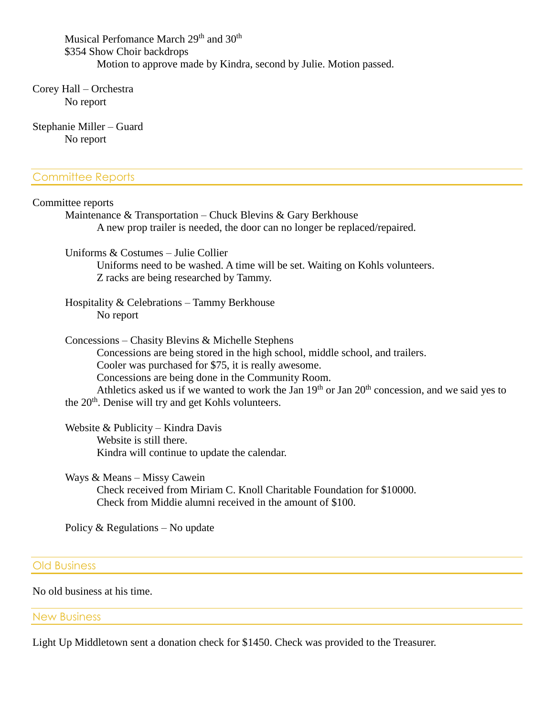Musical Perfomance March 29<sup>th</sup> and 30<sup>th</sup> \$354 Show Choir backdrops Motion to approve made by Kindra, second by Julie. Motion passed.

Corey Hall – Orchestra No report

Stephanie Miller – Guard No report

#### Committee Reports

| Committee reports                                                                                                                           |
|---------------------------------------------------------------------------------------------------------------------------------------------|
| Maintenance & Transportation – Chuck Blevins & Gary Berkhouse<br>A new prop trailer is needed, the door can no longer be replaced/repaired. |
|                                                                                                                                             |
| Uniforms $& Costumes - Julie Collider$                                                                                                      |
| Uniforms need to be washed. A time will be set. Waiting on Kohls volunteers.                                                                |
| Z racks are being researched by Tammy.                                                                                                      |
| Hospitality & Celebrations – Tammy Berkhouse                                                                                                |
| No report                                                                                                                                   |
| Concessions – Chasity Blevins & Michelle Stephens                                                                                           |
| Concessions are being stored in the high school, middle school, and trailers.                                                               |
| Cooler was purchased for \$75, it is really awesome.                                                                                        |
| Concessions are being done in the Community Room.                                                                                           |
| Athletics asked us if we wanted to work the Jan 19 <sup>th</sup> or Jan 20 <sup>th</sup> concession, and we said yes to                     |
| the 20 <sup>th</sup> . Denise will try and get Kohls volunteers.                                                                            |
| Website & Publicity – Kindra Davis                                                                                                          |
| Website is still there.                                                                                                                     |

Kindra will continue to update the calendar.

Ways & Means – Missy Cawein Check received from Miriam C. Knoll Charitable Foundation for \$10000. Check from Middie alumni received in the amount of \$100.

Policy & Regulations – No update

Old Business

No old business at his time.

New Business

Light Up Middletown sent a donation check for \$1450. Check was provided to the Treasurer.